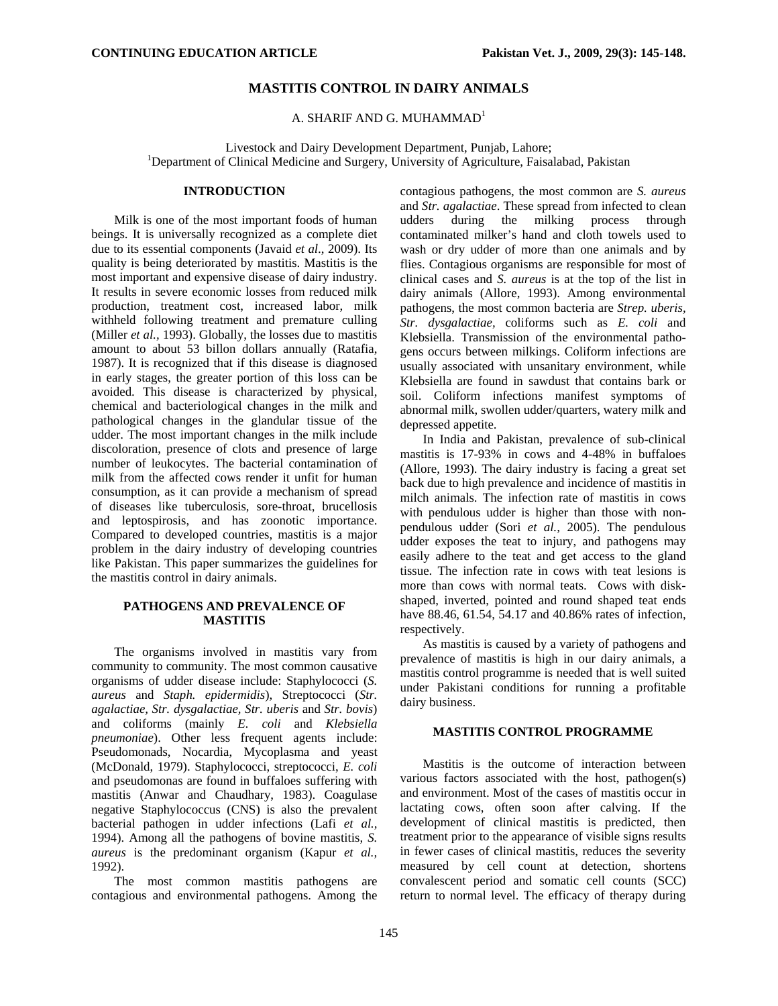## **MASTITIS CONTROL IN DAIRY ANIMALS**

A. SHARIF AND G. MUHAMMAD $<sup>1</sup>$ </sup>

Livestock and Dairy Development Department, Punjab, Lahore; 1 <sup>1</sup>Department of Clinical Medicine and Surgery, University of Agriculture, Faisalabad, Pakistan

## **INTRODUCTION**

Milk is one of the most important foods of human beings. It is universally recognized as a complete diet due to its essential components (Javaid *et al*., 2009). Its quality is being deteriorated by mastitis. Mastitis is the most important and expensive disease of dairy industry. It results in severe economic losses from reduced milk production, treatment cost, increased labor, milk withheld following treatment and premature culling (Miller *et al.,* 1993). Globally, the losses due to mastitis amount to about 53 billon dollars annually (Ratafia, 1987). It is recognized that if this disease is diagnosed in early stages, the greater portion of this loss can be avoided. This disease is characterized by physical, chemical and bacteriological changes in the milk and pathological changes in the glandular tissue of the udder. The most important changes in the milk include discoloration, presence of clots and presence of large number of leukocytes. The bacterial contamination of milk from the affected cows render it unfit for human consumption, as it can provide a mechanism of spread of diseases like tuberculosis, sore-throat, brucellosis and leptospirosis, and has zoonotic importance. Compared to developed countries, mastitis is a major problem in the dairy industry of developing countries like Pakistan. This paper summarizes the guidelines for the mastitis control in dairy animals.

# **PATHOGENS AND PREVALENCE OF MASTITIS**

The organisms involved in mastitis vary from community to community. The most common causative organisms of udder disease include: Staphylococci (*S. aureus* and *Staph. epidermidis*), Streptococci (*Str. agalactiae, Str. dysgalactiae, Str. uberis* and *Str. bovis*) and coliforms (mainly *E. coli* and *Klebsiella pneumoniae*). Other less frequent agents include: Pseudomonads, Nocardia, Mycoplasma and yeast (McDonald, 1979). Staphylococci, streptococci, *E. coli* and pseudomonas are found in buffaloes suffering with mastitis (Anwar and Chaudhary, 1983). Coagulase negative Staphylococcus (CNS) is also the prevalent bacterial pathogen in udder infections (Lafi *et al.,* 1994). Among all the pathogens of bovine mastitis, *S. aureus* is the predominant organism (Kapur *et al.,* 1992).

The most common mastitis pathogens are contagious and environmental pathogens. Among the

contagious pathogens, the most common are *S. aureus*  and *Str. agalactiae*. These spread from infected to clean<br>udders during the milking process through udders during the milking process through contaminated milker's hand and cloth towels used to wash or dry udder of more than one animals and by flies. Contagious organisms are responsible for most of clinical cases and *S. aureus* is at the top of the list in dairy animals (Allore, 1993). Among environmental pathogens, the most common bacteria are *Strep. uberis, Str. dysgalactiae,* coliforms such as *E. coli* and Klebsiella. Transmission of the environmental pathogens occurs between milkings. Coliform infections are usually associated with unsanitary environment, while Klebsiella are found in sawdust that contains bark or soil. Coliform infections manifest symptoms of abnormal milk, swollen udder/quarters, watery milk and depressed appetite.

In India and Pakistan, prevalence of sub-clinical mastitis is 17-93% in cows and 4-48% in buffaloes (Allore, 1993). The dairy industry is facing a great set back due to high prevalence and incidence of mastitis in milch animals. The infection rate of mastitis in cows with pendulous udder is higher than those with nonpendulous udder (Sori *et al.,* 2005). The pendulous udder exposes the teat to injury, and pathogens may easily adhere to the teat and get access to the gland tissue. The infection rate in cows with teat lesions is more than cows with normal teats. Cows with diskshaped, inverted, pointed and round shaped teat ends have 88.46, 61.54, 54.17 and 40.86% rates of infection, respectively.

As mastitis is caused by a variety of pathogens and prevalence of mastitis is high in our dairy animals, a mastitis control programme is needed that is well suited under Pakistani conditions for running a profitable dairy business.

### **MASTITIS CONTROL PROGRAMME**

Mastitis is the outcome of interaction between various factors associated with the host, pathogen(s) and environment. Most of the cases of mastitis occur in lactating cows, often soon after calving. If the development of clinical mastitis is predicted, then treatment prior to the appearance of visible signs results in fewer cases of clinical mastitis, reduces the severity measured by cell count at detection, shortens convalescent period and somatic cell counts (SCC) return to normal level. The efficacy of therapy during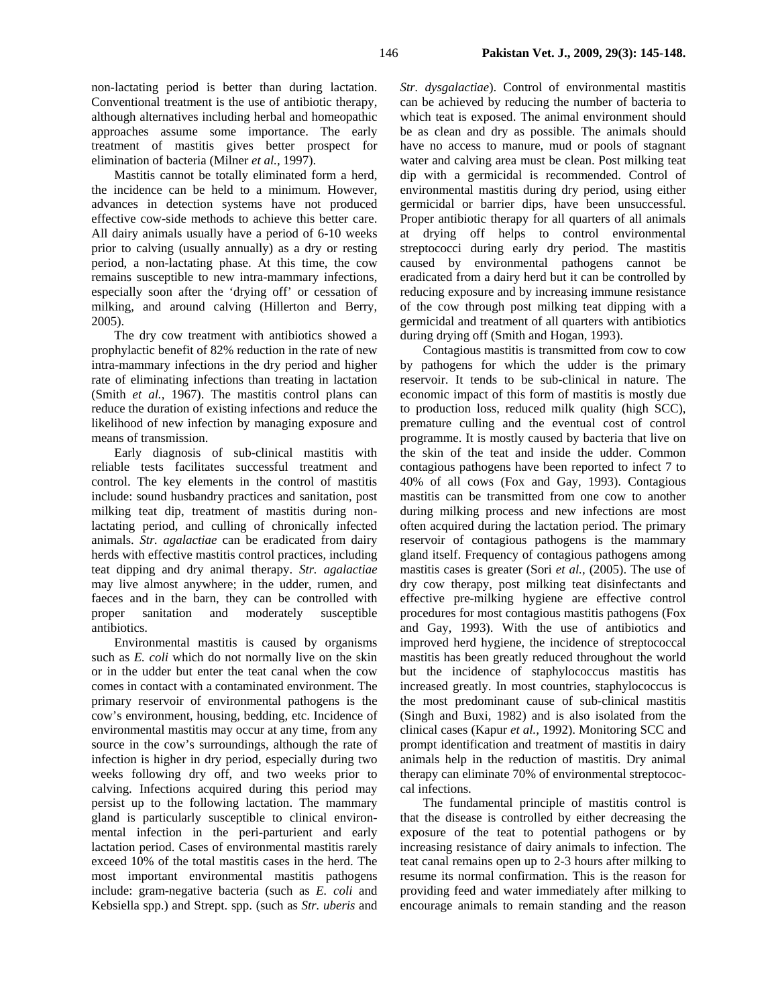non-lactating period is better than during lactation. Conventional treatment is the use of antibiotic therapy, although alternatives including herbal and homeopathic approaches assume some importance. The early treatment of mastitis gives better prospect for elimination of bacteria (Milner *et al.,* 1997).

Mastitis cannot be totally eliminated form a herd, the incidence can be held to a minimum. However, advances in detection systems have not produced effective cow-side methods to achieve this better care. All dairy animals usually have a period of 6-10 weeks prior to calving (usually annually) as a dry or resting period, a non-lactating phase. At this time, the cow remains susceptible to new intra-mammary infections, especially soon after the 'drying off' or cessation of milking, and around calving (Hillerton and Berry, 2005).

The dry cow treatment with antibiotics showed a prophylactic benefit of 82% reduction in the rate of new intra-mammary infections in the dry period and higher rate of eliminating infections than treating in lactation (Smith *et al.,* 1967). The mastitis control plans can reduce the duration of existing infections and reduce the likelihood of new infection by managing exposure and means of transmission.

Early diagnosis of sub-clinical mastitis with reliable tests facilitates successful treatment and control. The key elements in the control of mastitis include: sound husbandry practices and sanitation, post milking teat dip, treatment of mastitis during nonlactating period, and culling of chronically infected animals. *Str. agalactiae* can be eradicated from dairy herds with effective mastitis control practices, including teat dipping and dry animal therapy. *Str. agalactiae* may live almost anywhere; in the udder, rumen, and faeces and in the barn, they can be controlled with proper sanitation and moderately susceptible antibiotics.

Environmental mastitis is caused by organisms such as *E. coli* which do not normally live on the skin or in the udder but enter the teat canal when the cow comes in contact with a contaminated environment. The primary reservoir of environmental pathogens is the cow's environment, housing, bedding, etc. Incidence of environmental mastitis may occur at any time, from any source in the cow's surroundings, although the rate of infection is higher in dry period, especially during two weeks following dry off, and two weeks prior to calving. Infections acquired during this period may persist up to the following lactation. The mammary gland is particularly susceptible to clinical environmental infection in the peri-parturient and early lactation period. Cases of environmental mastitis rarely exceed 10% of the total mastitis cases in the herd. The most important environmental mastitis pathogens include: gram-negative bacteria (such as *E. coli* and Kebsiella spp.) and Strept. spp. (such as *Str. uberis* and

*Str. dysgalactiae*). Control of environmental mastitis can be achieved by reducing the number of bacteria to which teat is exposed. The animal environment should be as clean and dry as possible. The animals should have no access to manure, mud or pools of stagnant water and calving area must be clean. Post milking teat dip with a germicidal is recommended. Control of environmental mastitis during dry period, using either germicidal or barrier dips, have been unsuccessful. Proper antibiotic therapy for all quarters of all animals at drying off helps to control environmental streptococci during early dry period. The mastitis caused by environmental pathogens cannot be eradicated from a dairy herd but it can be controlled by reducing exposure and by increasing immune resistance of the cow through post milking teat dipping with a germicidal and treatment of all quarters with antibiotics during drying off (Smith and Hogan, 1993).

Contagious mastitis is transmitted from cow to cow by pathogens for which the udder is the primary reservoir. It tends to be sub-clinical in nature. The economic impact of this form of mastitis is mostly due to production loss, reduced milk quality (high SCC), premature culling and the eventual cost of control programme. It is mostly caused by bacteria that live on the skin of the teat and inside the udder. Common contagious pathogens have been reported to infect 7 to 40% of all cows (Fox and Gay, 1993). Contagious mastitis can be transmitted from one cow to another during milking process and new infections are most often acquired during the lactation period. The primary reservoir of contagious pathogens is the mammary gland itself. Frequency of contagious pathogens among mastitis cases is greater (Sori *et al.,* (2005). The use of dry cow therapy, post milking teat disinfectants and effective pre-milking hygiene are effective control procedures for most contagious mastitis pathogens (Fox and Gay, 1993). With the use of antibiotics and improved herd hygiene, the incidence of streptococcal mastitis has been greatly reduced throughout the world but the incidence of staphylococcus mastitis has increased greatly. In most countries, staphylococcus is the most predominant cause of sub-clinical mastitis (Singh and Buxi, 1982) and is also isolated from the clinical cases (Kapur *et al.,* 1992). Monitoring SCC and prompt identification and treatment of mastitis in dairy animals help in the reduction of mastitis. Dry animal therapy can eliminate 70% of environmental streptococcal infections.

The fundamental principle of mastitis control is that the disease is controlled by either decreasing the exposure of the teat to potential pathogens or by increasing resistance of dairy animals to infection. The teat canal remains open up to 2-3 hours after milking to resume its normal confirmation. This is the reason for providing feed and water immediately after milking to encourage animals to remain standing and the reason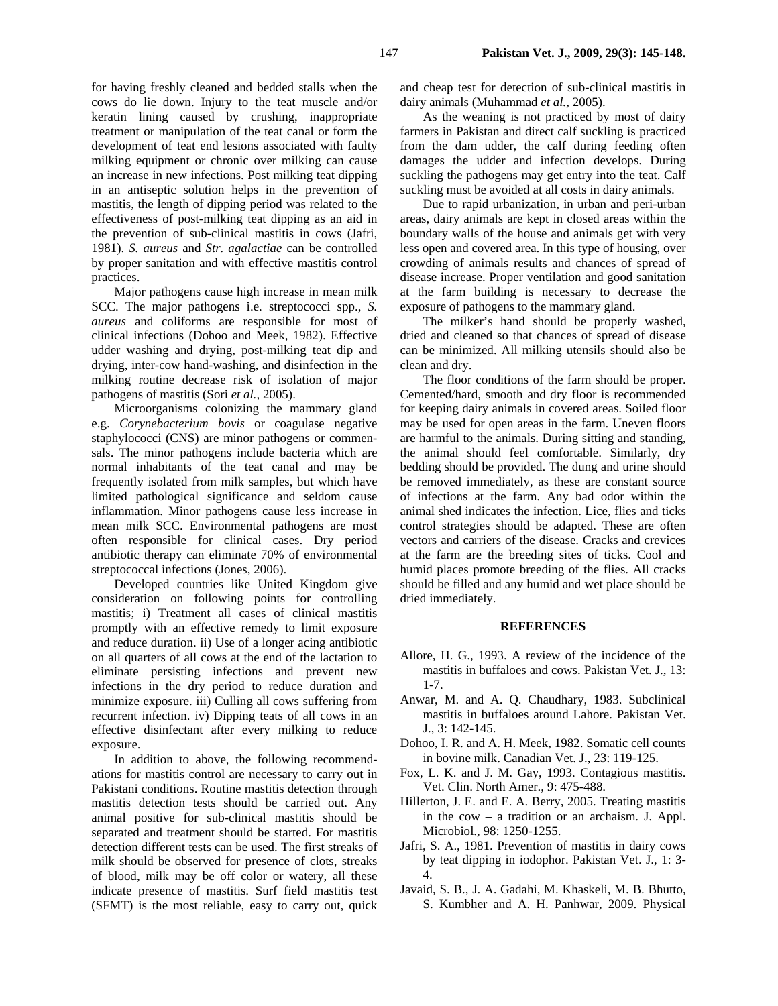for having freshly cleaned and bedded stalls when the cows do lie down. Injury to the teat muscle and/or keratin lining caused by crushing, inappropriate treatment or manipulation of the teat canal or form the development of teat end lesions associated with faulty milking equipment or chronic over milking can cause an increase in new infections. Post milking teat dipping in an antiseptic solution helps in the prevention of mastitis, the length of dipping period was related to the effectiveness of post-milking teat dipping as an aid in the prevention of sub-clinical mastitis in cows (Jafri, 1981). *S. aureus* and *Str. agalactiae* can be controlled by proper sanitation and with effective mastitis control practices.

Major pathogens cause high increase in mean milk SCC. The major pathogens i.e. streptococci spp., *S. aureus* and coliforms are responsible for most of clinical infections (Dohoo and Meek, 1982). Effective udder washing and drying, post-milking teat dip and drying, inter-cow hand-washing, and disinfection in the milking routine decrease risk of isolation of major pathogens of mastitis (Sori *et al.,* 2005).

Microorganisms colonizing the mammary gland e.g. *Corynebacterium bovis* or coagulase negative staphylococci (CNS) are minor pathogens or commensals. The minor pathogens include bacteria which are normal inhabitants of the teat canal and may be frequently isolated from milk samples, but which have limited pathological significance and seldom cause inflammation. Minor pathogens cause less increase in mean milk SCC. Environmental pathogens are most often responsible for clinical cases. Dry period antibiotic therapy can eliminate 70% of environmental streptococcal infections (Jones, 2006).

Developed countries like United Kingdom give consideration on following points for controlling mastitis; i) Treatment all cases of clinical mastitis promptly with an effective remedy to limit exposure and reduce duration. ii) Use of a longer acing antibiotic on all quarters of all cows at the end of the lactation to eliminate persisting infections and prevent new infections in the dry period to reduce duration and minimize exposure. iii) Culling all cows suffering from recurrent infection. iv) Dipping teats of all cows in an effective disinfectant after every milking to reduce exposure.

In addition to above, the following recommendations for mastitis control are necessary to carry out in Pakistani conditions. Routine mastitis detection through mastitis detection tests should be carried out. Any animal positive for sub-clinical mastitis should be separated and treatment should be started. For mastitis detection different tests can be used. The first streaks of milk should be observed for presence of clots, streaks of blood, milk may be off color or watery, all these indicate presence of mastitis. Surf field mastitis test (SFMT) is the most reliable, easy to carry out, quick

and cheap test for detection of sub-clinical mastitis in dairy animals (Muhammad *et al.,* 2005).

As the weaning is not practiced by most of dairy farmers in Pakistan and direct calf suckling is practiced from the dam udder, the calf during feeding often damages the udder and infection develops. During suckling the pathogens may get entry into the teat. Calf suckling must be avoided at all costs in dairy animals.

Due to rapid urbanization, in urban and peri-urban areas, dairy animals are kept in closed areas within the boundary walls of the house and animals get with very less open and covered area. In this type of housing, over crowding of animals results and chances of spread of disease increase. Proper ventilation and good sanitation at the farm building is necessary to decrease the exposure of pathogens to the mammary gland.

The milker's hand should be properly washed, dried and cleaned so that chances of spread of disease can be minimized. All milking utensils should also be clean and dry.

The floor conditions of the farm should be proper. Cemented/hard, smooth and dry floor is recommended for keeping dairy animals in covered areas. Soiled floor may be used for open areas in the farm. Uneven floors are harmful to the animals. During sitting and standing, the animal should feel comfortable. Similarly, dry bedding should be provided. The dung and urine should be removed immediately, as these are constant source of infections at the farm. Any bad odor within the animal shed indicates the infection. Lice, flies and ticks control strategies should be adapted. These are often vectors and carriers of the disease. Cracks and crevices at the farm are the breeding sites of ticks. Cool and humid places promote breeding of the flies. All cracks should be filled and any humid and wet place should be dried immediately.

#### **REFERENCES**

- Allore, H. G., 1993. A review of the incidence of the mastitis in buffaloes and cows. Pakistan Vet. J., 13: 1-7.
- Anwar, M. and A. Q. Chaudhary, 1983. Subclinical mastitis in buffaloes around Lahore. Pakistan Vet. J., 3: 142-145.
- Dohoo, I. R. and A. H. Meek, 1982. Somatic cell counts in bovine milk. Canadian Vet. J., 23: 119-125.
- Fox, L. K. and J. M. Gay, 1993. Contagious mastitis. Vet. Clin. North Amer., 9: 475-488.
- Hillerton, J. E. and E. A. Berry, 2005. Treating mastitis in the cow – a tradition or an archaism. J. Appl. Microbiol., 98: 1250-1255.
- Jafri, S. A., 1981. Prevention of mastitis in dairy cows by teat dipping in iodophor. Pakistan Vet. J., 1: 3- 4.
- Javaid, S. B., J. A. Gadahi, M. Khaskeli, M. B. Bhutto, S. Kumbher and A. H. Panhwar, 2009. Physical